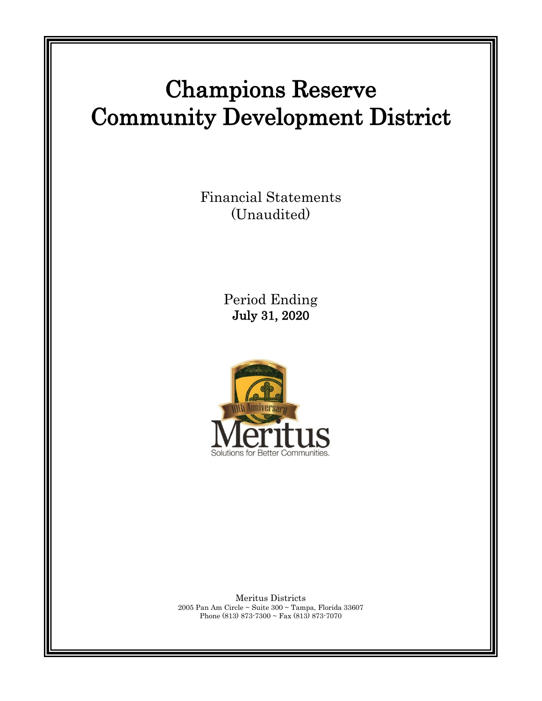# Champions Reserve Community Development District

Financial Statements (Unaudited)

> Period Ending July 31, 2020



Meritus Districts 2005 Pan Am Circle ~ Suite 300 ~ Tampa, Florida 33607 Phone (813) 873-7300 ~ Fax (813) 873-7070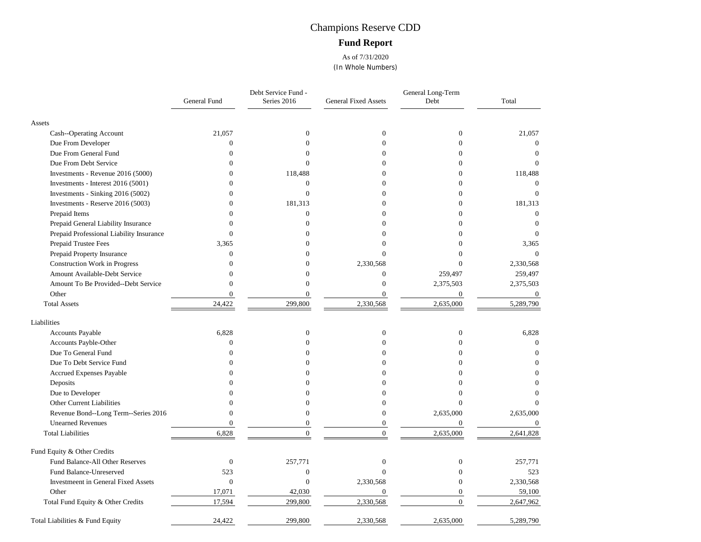## Champions Reserve CDD **Fund Report**

As of 7/31/2020 (In Whole Numbers)

|                                            | General Fund     | Debt Service Fund -<br>Series 2016 | <b>General Fixed Assets</b> | General Long-Term<br>Debt | Total            |
|--------------------------------------------|------------------|------------------------------------|-----------------------------|---------------------------|------------------|
| Assets                                     |                  |                                    |                             |                           |                  |
| Cash--Operating Account                    | 21,057           | $\mathbf{0}$                       | $\mathbf{0}$                | $\theta$                  | 21,057           |
| Due From Developer                         | $\mathbf{0}$     | $\Omega$                           | $\Omega$                    | $\mathbf{0}$              | $\mathbf{0}$     |
| Due From General Fund                      | $\theta$         | $\Omega$                           | $\Omega$                    | $\Omega$                  | $\theta$         |
| Due From Debt Service                      | $\mathbf{0}$     | $\Omega$                           | $\Omega$                    | $\overline{0}$            | $\Omega$         |
| Investments - Revenue 2016 (5000)          | $\Omega$         | 118,488                            | $\Omega$                    | 0                         | 118,488          |
| Investments - Interest 2016 (5001)         | $\Omega$         | $\overline{0}$                     | $\Omega$                    | $\Omega$                  | $\theta$         |
| Investments - Sinking 2016 (5002)          | $\mathbf{0}$     | $\overline{0}$                     | $\Omega$                    | $\mathbf{0}$              | $\Omega$         |
| Investments - Reserve 2016 (5003)          | $\Omega$         | 181,313                            | $\theta$                    | $\mathbf{0}$              | 181,313          |
| Prepaid Items                              | $\Omega$         | $\overline{0}$                     | $\Omega$                    | $\Omega$                  | $\mathbf{0}$     |
| Prepaid General Liability Insurance        | $\Omega$         | $\Omega$                           | ∩                           | 0                         | $\theta$         |
| Prepaid Professional Liability Insurance   | $\Omega$         | 0                                  | $\Omega$                    | $\Omega$                  | $\theta$         |
| Prepaid Trustee Fees                       | 3,365            |                                    | $\theta$                    |                           | 3,365            |
| Prepaid Property Insurance                 | $\Omega$         |                                    | $\Omega$                    | 0                         | $\Omega$         |
| Construction Work in Progress              | $\Omega$         | $\Omega$                           | 2,330,568                   | $\Omega$                  | 2,330,568        |
| Amount Available-Debt Service              | $\Omega$         | 0                                  | $\mathbf{0}$                | 259,497                   | 259,497          |
| Amount To Be Provided--Debt Service        | $\overline{0}$   | $\overline{0}$                     | $\mathbf{0}$                | 2,375,503                 | 2,375,503        |
| Other                                      | $\mathbf{0}$     | $\overline{0}$                     | $\mathbf{0}$                | $\mathbf{0}$              | $\boldsymbol{0}$ |
| <b>Total Assets</b>                        | 24,422           | 299,800                            | 2,330,568                   | 2,635,000                 | 5,289,790        |
| Liabilities                                |                  |                                    |                             |                           |                  |
| Accounts Payable                           | 6,828            | $\boldsymbol{0}$                   | $\theta$                    | $\mathbf{0}$              | 6,828            |
| Accounts Payble-Other                      | $\mathbf{0}$     | $\Omega$                           | $\theta$                    | $\Omega$                  | $\Omega$         |
| Due To General Fund                        | $\theta$         | 0                                  | 0                           | $\Omega$                  | $\Omega$         |
| Due To Debt Service Fund                   | $\mathbf{0}$     | 0                                  | $\Omega$                    | $\Omega$                  | O                |
| Accrued Expenses Payable                   | $\Omega$         |                                    | 0                           | 0                         | O                |
| Deposits                                   | $\Omega$         |                                    | 0                           | 0                         | 0                |
| Due to Developer                           |                  |                                    | 0                           |                           |                  |
| Other Current Liabilities                  | $\Omega$         | $\Omega$                           | $\mathbf{0}$                | $\Omega$                  |                  |
| Revenue Bond--Long Term--Series 2016       | $\theta$         | $\Omega$                           | $\Omega$                    | 2,635,000                 | 2,635,000        |
| <b>Unearned Revenues</b>                   | $\overline{0}$   | $\overline{0}$                     | $\mathbf{0}$                | $\overline{0}$            | $\mathbf{0}$     |
| <b>Total Liabilities</b>                   | 6,828            | $\theta$                           | $\Omega$                    | 2,635,000                 | 2,641,828        |
| Fund Equity & Other Credits                |                  |                                    |                             |                           |                  |
| Fund Balance-All Other Reserves            | $\boldsymbol{0}$ | 257,771                            | $\theta$                    | $\boldsymbol{0}$          | 257,771          |
| Fund Balance-Unreserved                    | 523              | $\boldsymbol{0}$                   | $\Omega$                    | $\theta$                  | 523              |
| <b>Investmeent in General Fixed Assets</b> | $\boldsymbol{0}$ | $\mathbf{0}$                       | 2,330,568                   | $\Omega$                  | 2,330,568        |
| Other                                      | 17,071           | 42,030                             | $\theta$                    | $\overline{0}$            | 59,100           |
| Total Fund Equity & Other Credits          | 17,594           | 299,800                            | 2,330,568                   | $\overline{0}$            | 2,647,962        |
| Total Liabilities & Fund Equity            | 24,422           | 299,800                            | 2,330,568                   | 2,635,000                 | 5,289,790        |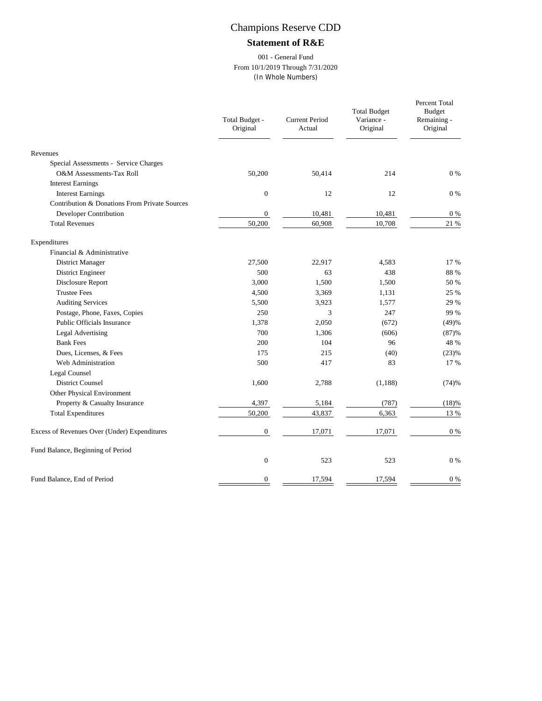### **Statement of R&E**

#### 001 - General Fund From 10/1/2019 Through 7/31/2020 (In Whole Numbers)

|                                               | Total Budget -<br>Original | <b>Current Period</b><br>Actual | <b>Total Budget</b><br>Variance -<br>Original | Percent Total<br><b>Budget</b><br>Remaining -<br>Original |
|-----------------------------------------------|----------------------------|---------------------------------|-----------------------------------------------|-----------------------------------------------------------|
| Revenues                                      |                            |                                 |                                               |                                                           |
| Special Assessments - Service Charges         |                            |                                 |                                               |                                                           |
| O&M Assessments-Tax Roll                      | 50,200                     | 50,414                          | 214                                           | $0\%$                                                     |
| <b>Interest Earnings</b>                      |                            |                                 |                                               |                                                           |
| <b>Interest Earnings</b>                      | $\boldsymbol{0}$           | 12                              | 12                                            | $0\%$                                                     |
| Contribution & Donations From Private Sources |                            |                                 |                                               |                                                           |
| Developer Contribution                        | $\mathbf{0}$               | 10,481                          | 10,481                                        | $0\%$                                                     |
| <b>Total Revenues</b>                         | 50,200                     | 60,908                          | 10,708                                        | 21 %                                                      |
| Expenditures                                  |                            |                                 |                                               |                                                           |
| Financial & Administrative                    |                            |                                 |                                               |                                                           |
| District Manager                              | 27,500                     | 22,917                          | 4,583                                         | 17 %                                                      |
| District Engineer                             | 500                        | 63                              | 438                                           | 88 %                                                      |
| Disclosure Report                             | 3,000                      | 1,500                           | 1,500                                         | 50 %                                                      |
| <b>Trustee Fees</b>                           | 4,500                      | 3,369                           | 1,131                                         | 25 %                                                      |
| <b>Auditing Services</b>                      | 5,500                      | 3,923                           | 1,577                                         | 29 %                                                      |
| Postage, Phone, Faxes, Copies                 | 250                        | 3                               | 247                                           | 99 %                                                      |
| Public Officials Insurance                    | 1,378                      | 2,050                           | (672)                                         | (49)%                                                     |
| <b>Legal Advertising</b>                      | 700                        | 1,306                           | (606)                                         | (87)%                                                     |
| <b>Bank Fees</b>                              | 200                        | 104                             | 96                                            | 48 %                                                      |
| Dues, Licenses, & Fees                        | 175                        | 215                             | (40)                                          | (23)%                                                     |
| Web Administration                            | 500                        | 417                             | 83                                            | 17 %                                                      |
| Legal Counsel                                 |                            |                                 |                                               |                                                           |
| <b>District Counsel</b>                       | 1,600                      | 2,788                           | (1, 188)                                      | (74)%                                                     |
| Other Physical Environment                    |                            |                                 |                                               |                                                           |
| Property & Casualty Insurance                 | 4,397                      | 5,184                           | (787)                                         | (18)%                                                     |
| <b>Total Expenditures</b>                     | 50,200                     | 43,837                          | 6,363                                         | 13 %                                                      |
| Excess of Revenues Over (Under) Expenditures  | $\boldsymbol{0}$           | 17,071                          | 17,071                                        | $0\%$                                                     |
| Fund Balance, Beginning of Period             |                            |                                 |                                               |                                                           |
|                                               | $\mathbf{0}$               | 523                             | 523                                           | $0\%$                                                     |
| Fund Balance, End of Period                   | $\boldsymbol{0}$           | 17,594                          | 17,594                                        | $0\%$                                                     |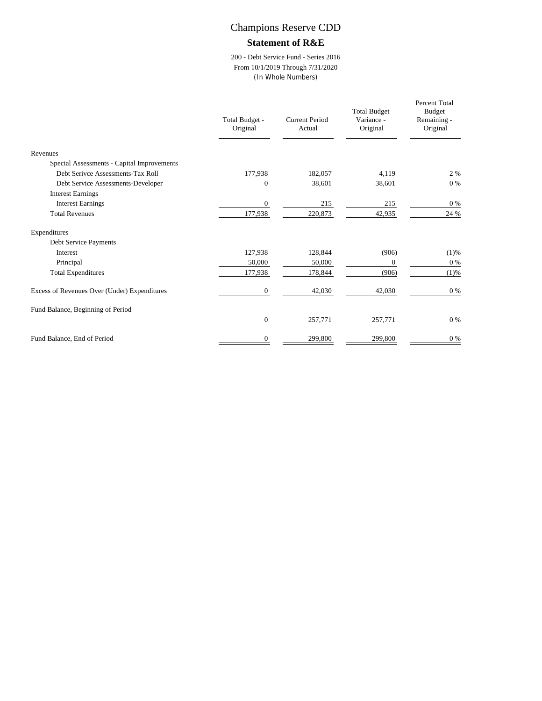#### **Statement of R&E**

200 - Debt Service Fund - Series 2016 From 10/1/2019 Through 7/31/2020 (In Whole Numbers)

|                                              | Total Budget -<br>Original | <b>Current Period</b><br>Actual | <b>Total Budget</b><br>Variance -<br>Original | Percent Total<br><b>Budget</b><br>Remaining -<br>Original |
|----------------------------------------------|----------------------------|---------------------------------|-----------------------------------------------|-----------------------------------------------------------|
| Revenues                                     |                            |                                 |                                               |                                                           |
| Special Assessments - Capital Improvements   |                            |                                 |                                               |                                                           |
| Debt Serivce Assessments-Tax Roll            | 177,938                    | 182,057                         | 4,119                                         | 2 %                                                       |
| Debt Service Assessments-Developer           | $\Omega$                   | 38,601                          | 38,601                                        | $0\%$                                                     |
| <b>Interest Earnings</b>                     |                            |                                 |                                               |                                                           |
| <b>Interest Earnings</b>                     | $\mathbf{0}$               | 215                             | 215                                           | $0\%$                                                     |
| <b>Total Revenues</b>                        | 177,938                    | 220,873                         | 42,935                                        | 24 %                                                      |
| Expenditures                                 |                            |                                 |                                               |                                                           |
| Debt Service Payments                        |                            |                                 |                                               |                                                           |
| <b>Interest</b>                              | 127,938                    | 128,844                         | (906)                                         | (1)%                                                      |
| Principal                                    | 50,000                     | 50,000                          | $\mathbf{0}$                                  | $0\%$                                                     |
| <b>Total Expenditures</b>                    | 177,938                    | 178,844                         | (906)                                         | (1)%                                                      |
| Excess of Revenues Over (Under) Expenditures | $\mathbf{0}$               | 42,030                          | 42,030                                        | $0\%$                                                     |
| Fund Balance, Beginning of Period            |                            |                                 |                                               |                                                           |
|                                              | $\mathbf{0}$               | 257,771                         | 257,771                                       | $0\%$                                                     |
| Fund Balance, End of Period                  | $\mathbf{0}$               | 299,800                         | 299,800                                       | $0\ \%$                                                   |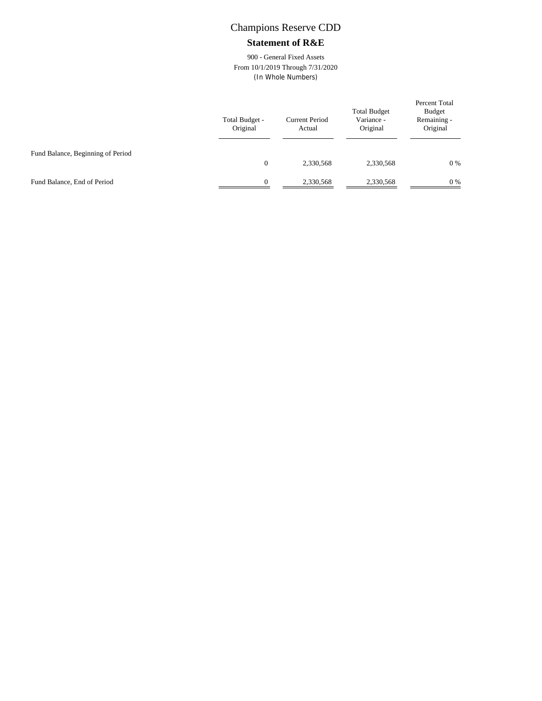#### **Statement of R&E**

900 - General Fixed Assets From 10/1/2019 Through 7/31/2020 (In Whole Numbers)

|                                   | Total Budget -<br>Original | <b>Current Period</b><br>Actual | <b>Total Budget</b><br>Variance -<br>Original | Percent Total<br><b>Budget</b><br>Remaining -<br>Original |
|-----------------------------------|----------------------------|---------------------------------|-----------------------------------------------|-----------------------------------------------------------|
| Fund Balance, Beginning of Period | $\overline{0}$             | 2,330,568                       | 2,330,568                                     | 0%                                                        |
| Fund Balance, End of Period       | $\Omega$                   | 2,330,568                       | 2,330,568                                     | 0%                                                        |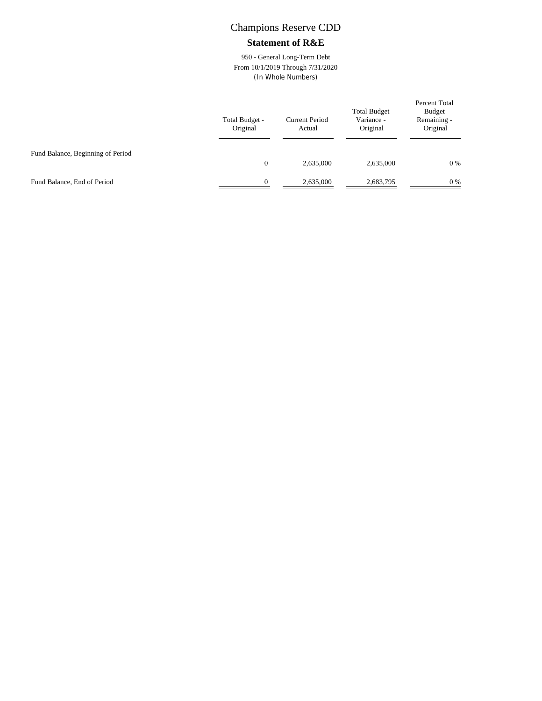#### **Statement of R&E**

950 - General Long-Term Debt From 10/1/2019 Through 7/31/2020 (In Whole Numbers)

|                                   | Total Budget -<br>Original | <b>Current Period</b><br>Actual | <b>Total Budget</b><br>Variance -<br>Original | Percent Total<br><b>Budget</b><br>Remaining -<br>Original |
|-----------------------------------|----------------------------|---------------------------------|-----------------------------------------------|-----------------------------------------------------------|
| Fund Balance, Beginning of Period | $\overline{0}$             | 2,635,000                       | 2,635,000                                     | 0%                                                        |
| Fund Balance, End of Period       | $\Omega$                   | 2,635,000                       | 2,683,795                                     | 0%                                                        |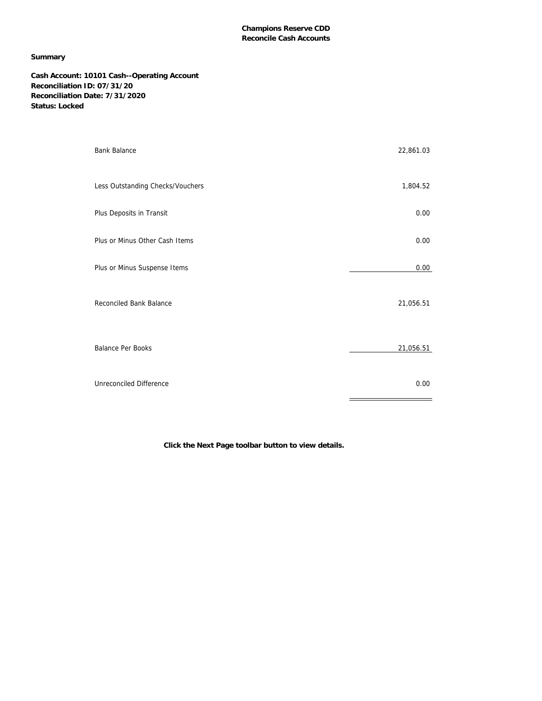#### **Summary**

**Cash Account: 10101 Cash--Operating Account Reconciliation ID: 07/31/20 Reconciliation Date: 7/31/2020 Status: Locked**

| <b>Bank Balance</b>              | 22,861.03 |
|----------------------------------|-----------|
| Less Outstanding Checks/Vouchers | 1,804.52  |
| Plus Deposits in Transit         | 0.00      |
| Plus or Minus Other Cash Items   | 0.00      |
| Plus or Minus Suspense Items     | 0.00      |
| Reconciled Bank Balance          | 21,056.51 |
| <b>Balance Per Books</b>         | 21,056.51 |
| Unreconciled Difference          | 0.00      |

**Click the Next Page toolbar button to view details.**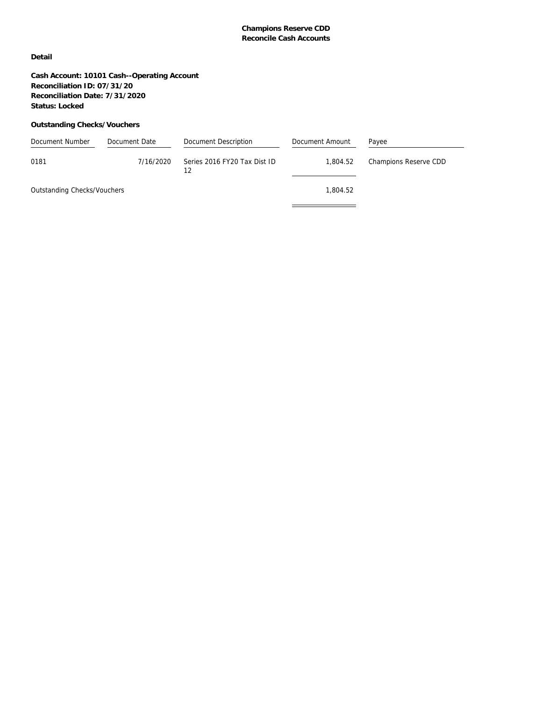**Detail**

**Cash Account: 10101 Cash--Operating Account Reconciliation ID: 07/31/20 Reconciliation Date: 7/31/2020 Status: Locked**

#### **Outstanding Checks/Vouchers**

| Document Number             | Document Date | Document Description               | Document Amount | Payee                 |
|-----------------------------|---------------|------------------------------------|-----------------|-----------------------|
| 0181                        | 7/16/2020     | Series 2016 FY20 Tax Dist ID<br>12 | 1.804.52        | Champions Reserve CDD |
| Outstanding Checks/Vouchers |               |                                    | 1.804.52        |                       |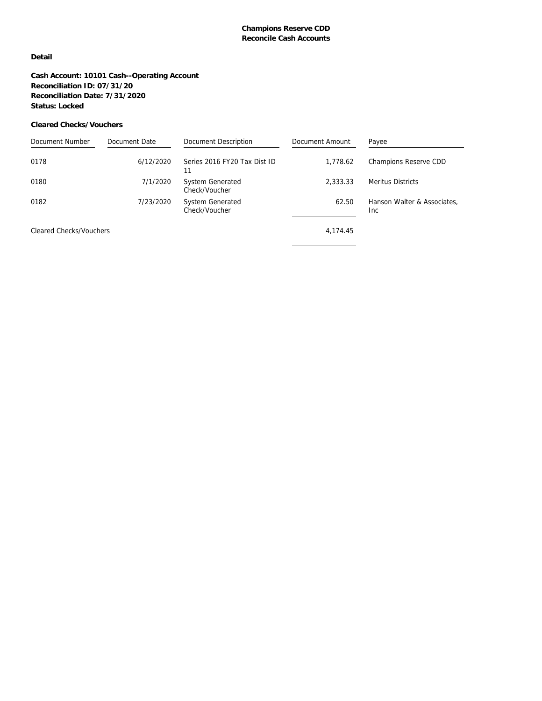#### **Detail**

**Cash Account: 10101 Cash--Operating Account Reconciliation ID: 07/31/20 Reconciliation Date: 7/31/2020 Status: Locked**

#### **Cleared Checks/Vouchers**

| Document Number         | Document Date | Document Description                     | Document Amount | Payee                               |
|-------------------------|---------------|------------------------------------------|-----------------|-------------------------------------|
| 0178                    | 6/12/2020     | Series 2016 FY20 Tax Dist ID<br>11       | 1.778.62        | Champions Reserve CDD               |
| 0180                    | 7/1/2020      | <b>System Generated</b><br>Check/Voucher | 2.333.33        | <b>Meritus Districts</b>            |
| 0182                    | 7/23/2020     | <b>System Generated</b><br>Check/Voucher | 62.50           | Hanson Walter & Associates.<br>Inc. |
| Cleared Checks/Vouchers |               |                                          | 4,174.45        |                                     |